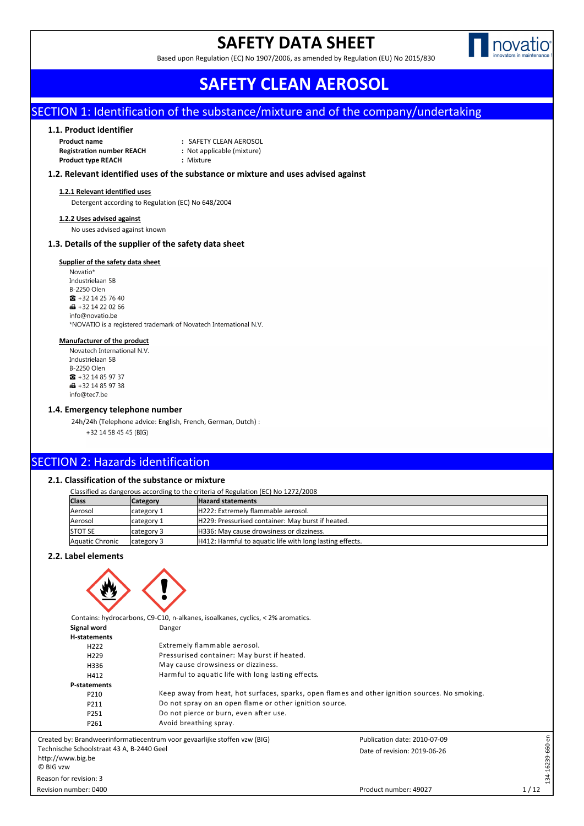# **SAFETY DATA SHEET**





 **SAFETY CLEAN AEROSOL**

## SECTION 1: Identification of the substance/mixture and of the company/undertaking

### **1.1. Product identifier**

**Product name :** SAFETY CLEAN AEROSOL **Registration number REACH :** Not applicable (mixture) **Product type REACH :** Mixture

### **1.2. Relevant identified uses of the substance or mixture and uses advised against**

#### **1.2.1 Relevant identified uses**

Detergent according to Regulation (EC) No 648/2004

#### **1.2.2 Uses advised against**

No uses advised against known

## **1.3. Details of the supplier of the safety data sheet**

## **Supplier of the safety data sheet**

Novatio\* Industrielaan 5B **B-2250 Olen**  $\frac{1}{2}$  + 32 14 25 76 40 ■ +32 14 22 02 66 info@novatio.be \*NOVATIO is a registered trademark of Novatech International N.V.

#### **Manufacturer of the product**

Novatech International N.V. Industrielaan 5B **B-2250 Olen**  $\bullet$  +32 14 85 97 37  $\bigoplus$  +32 14 85 97 38 info@tec7.be

#### **1.4. Emergency telephone number**

24h/24h (Telephone advice: English, French, German, Dutch) : +32 14 58 45 45 (BIG)

## SECTION 2: Hazards identification

## **2.1. Classification of the substance or mixture**

Classified as dangerous according to the criteria of Regulation (EC) No 1272/2008

| <b>Class</b>    | <b>Category</b> | <b>Hazard statements</b>                                 |
|-----------------|-----------------|----------------------------------------------------------|
| Aerosol         | category 1      | H222: Extremely flammable aerosol.                       |
| Aerosol         | lcategory 1     | H229: Pressurised container: May burst if heated.        |
| <b>STOT SE</b>  | category 3      | H336: May cause drowsiness or dizziness.                 |
| Aquatic Chronic | category 3      | H412: Harmful to aquatic life with long lasting effects. |

## **2.2. Label elements**



**Signal word** Danger **H-statements** H222 Extremely flammable aerosol. H229 Pressurised container: May burst if heated. H336 May cause drowsiness or dizziness. H412 Harmful to aquatic life with long lasting effects. **P-statements** Keep away from heat, hot surfaces, sparks, open flames and other ignition sources. No smoking. P211 Do not spray on an open flame or other ignition source. P251 Do not pierce or burn, even after use. P261 Avoid breathing spray. 134-16239-660-en Publication date: 2010-07-09 134-16239-660-en

Created by: Brandweerinformatiecentrum voor gevaarlijke stoffen vzw (BIG) Technische Schoolstraat 43 A, B-2440 Geel http://www.big.be © BIG vzw Reason for revision: 3

Revision number: 0400

Date of revision: 2019-06-26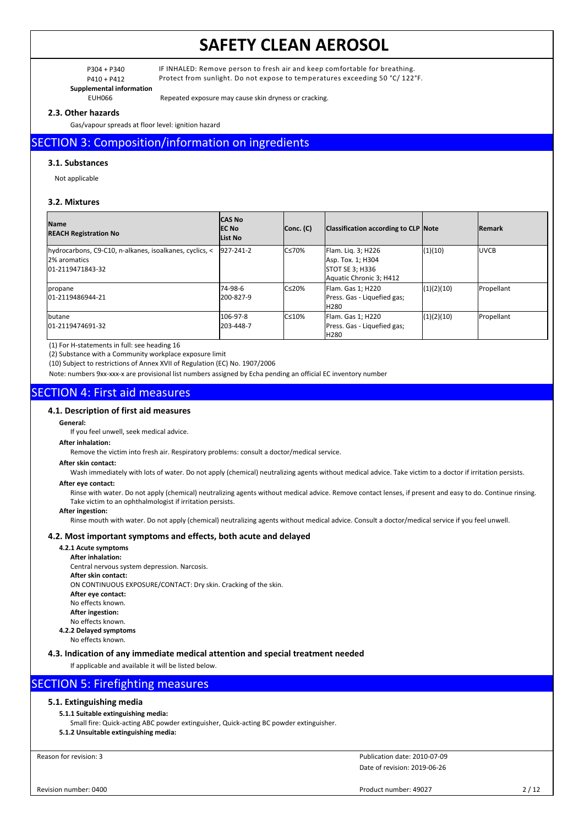**Supplemental information**

P304 + P340 IF INHALED: Remove person to fresh air and keep comfortable for breathing. P410 + P412 Protect from sunlight. Do not expose to temperatures exceeding 50 °C/ 122°F.

EUH066 Repeated exposure may cause skin dryness or cracking.

## **2.3. Other hazards**

Gas/vapour spreads at floor level: ignition hazard

## SECTION 3: Composition/information on ingredients

## **3.1. Substances**

Not applicable

## **3.2. Mixtures**

| <b>Name</b><br><b>REACH Registration No</b>                                                  | <b>CAS No</b><br>IEC No<br>List No | Conc. (C)     | Classification according to CLP Note                                                         |            | <b>Remark</b> |
|----------------------------------------------------------------------------------------------|------------------------------------|---------------|----------------------------------------------------------------------------------------------|------------|---------------|
| hydrocarbons, C9-C10, n-alkanes, isoalkanes, cyclics, <<br>12% aromatics<br>01-2119471843-32 | $927 - 241 - 2$                    | IC≤70%        | Flam. Lig. 3; H226<br>Asp. Tox. 1; H304<br><b>STOT SE 3; H336</b><br>Aquatic Chronic 3; H412 | (1)(10)    | <b>IUVCB</b>  |
| <i>copane</i><br>01-2119486944-21                                                            | 74-98-6<br>200-827-9               | $C \leq 20\%$ | Flam. Gas 1; H220<br>Press. Gas - Liquefied gas;<br>H <sub>280</sub>                         | (1)(2)(10) | Propellant    |
| lbutane<br>01-2119474691-32                                                                  | 106-97-8<br>203-448-7              | $C \leq 10\%$ | Flam. Gas 1; H220<br>Press. Gas - Liquefied gas;<br>H280                                     | (1)(2)(10) | Propellant    |

(1) For H-statements in full: see heading 16

(2) Substance with a Community workplace exposure limit

(10) Subject to restrictions of Annex XVII of Regulation (EC) No. 1907/2006

Note: numbers 9xx-xxx-x are provisional list numbers assigned by Echa pending an official EC inventory number

## SECTION 4: First aid measures

## **4.1. Description of first aid measures**

#### **General:**

If you feel unwell, seek medical advice.

**After inhalation:**

Remove the victim into fresh air. Respiratory problems: consult a doctor/medical service.

#### **After skin contact:**

Wash immediately with lots of water. Do not apply (chemical) neutralizing agents without medical advice. Take victim to a doctor if irritation persists.

## **After eye contact:**

Rinse with water. Do not apply (chemical) neutralizing agents without medical advice. Remove contact lenses, if present and easy to do. Continue rinsing. Take victim to an ophthalmologist if irritation persists.

**After ingestion:**

Rinse mouth with water. Do not apply (chemical) neutralizing agents without medical advice. Consult a doctor/medical service if you feel unwell.

### **4.2. Most important symptoms and effects, both acute and delayed**

## **4.2.1 Acute symptoms**

**After inhalation:** Central nervous system depression. Narcosis. **After skin contact:** ON CONTINUOUS EXPOSURE/CONTACT: Dry skin. Cracking of the skin. **After eye contact:** No effects known. **After ingestion:** No effects known. **4.2.2 Delayed symptoms**

No effects known.

**4.3. Indication of any immediate medical attention and special treatment needed**

If applicable and available it will be listed below.

## SECTION 5: Firefighting measures

## **5.1. Extinguishing media**

## **5.1.1 Suitable extinguishing media:**

Small fire: Quick-acting ABC powder extinguisher, Quick-acting BC powder extinguisher.

**5.1.2 Unsuitable extinguishing media:**

Reason for revision: 3

Date of revision: 2019-06-26 Publication date: 2010-07-09

Product number: 49027 2/12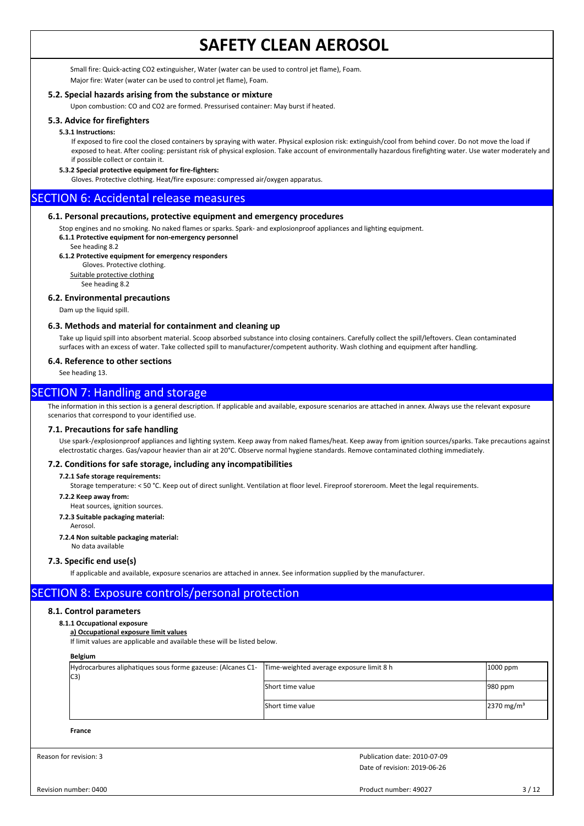Small fire: Quick-acting CO2 extinguisher, Water (water can be used to control jet flame), Foam. Major fire: Water (water can be used to control jet flame), Foam.

## **5.2. Special hazards arising from the substance or mixture**

Upon combustion: CO and CO2 are formed. Pressurised container: May burst if heated.

## **5.3. Advice for firefighters**

#### **5.3.1 Instructions:**

If exposed to fire cool the closed containers by spraying with water. Physical explosion risk: extinguish/cool from behind cover. Do not move the load if exposed to heat. After cooling: persistant risk of physical explosion. Take account of environmentally hazardous firefighting water. Use water moderately and if possible collect or contain it.

## **5.3.2 Special protective equipment for fire-fighters:**

Gloves. Protective clothing. Heat/fire exposure: compressed air/oxygen apparatus.

## SECTION 6: Accidental release measures

### **6.1. Personal precautions, protective equipment and emergency procedures**

Stop engines and no smoking. No naked flames or sparks. Spark- and explosionproof appliances and lighting equipment. **6.1.1 Protective equipment for non-emergency personnel**

See heading 8.2

### **6.1.2 Protective equipment for emergency responders**

Gloves. Protective clothing.

Suitable protective clothing See heading 8.2

### **6.2. Environmental precautions**

Dam up the liquid spill.

### **6.3. Methods and material for containment and cleaning up**

Take up liquid spill into absorbent material. Scoop absorbed substance into closing containers. Carefully collect the spill/leftovers. Clean contaminated surfaces with an excess of water. Take collected spill to manufacturer/competent authority. Wash clothing and equipment after handling.

## **6.4. Reference to other sections**

See heading 13.

## SECTION 7: Handling and storage

The information in this section is a general description. If applicable and available, exposure scenarios are attached in annex. Always use the relevant exposure scenarios that correspond to your identified use.

### **7.1. Precautions for safe handling**

Use spark-/explosionproof appliances and lighting system. Keep away from naked flames/heat. Keep away from ignition sources/sparks. Take precautions against electrostatic charges. Gas/vapour heavier than air at 20°C. Observe normal hygiene standards. Remove contaminated clothing immediately.

### **7.2. Conditions for safe storage, including any incompatibilities**

## **7.2.1 Safe storage requirements:**

Storage temperature: < 50 °C. Keep out of direct sunlight. Ventilation at floor level. Fireproof storeroom. Meet the legal requirements.

#### **7.2.2 Keep away from:**

Heat sources, ignition sources.

#### **7.2.3 Suitable packaging material:**

Aerosol.

#### **7.2.4 Non suitable packaging material:**

No data available

### **7.3. Specific end use(s)**

If applicable and available, exposure scenarios are attached in annex. See information supplied by the manufacturer.

## SECTION 8: Exposure controls/personal protection

### **8.1. Control parameters**

#### **8.1.1 Occupational exposure**

#### **a) Occupational exposure limit values**

If limit values are applicable and available these will be listed below.

## **Belgium**

| Hydrocarbures aliphatiques sous forme gazeuse: (Alcanes C1-<br>C3 | Time-weighted average exposure limit 8 h | $1000$ ppm            |
|-------------------------------------------------------------------|------------------------------------------|-----------------------|
|                                                                   | Short time value                         | 980 ppm               |
|                                                                   | Short time value                         | $2370 \text{ mg/m}^3$ |

#### **France**

Reason for revision: 3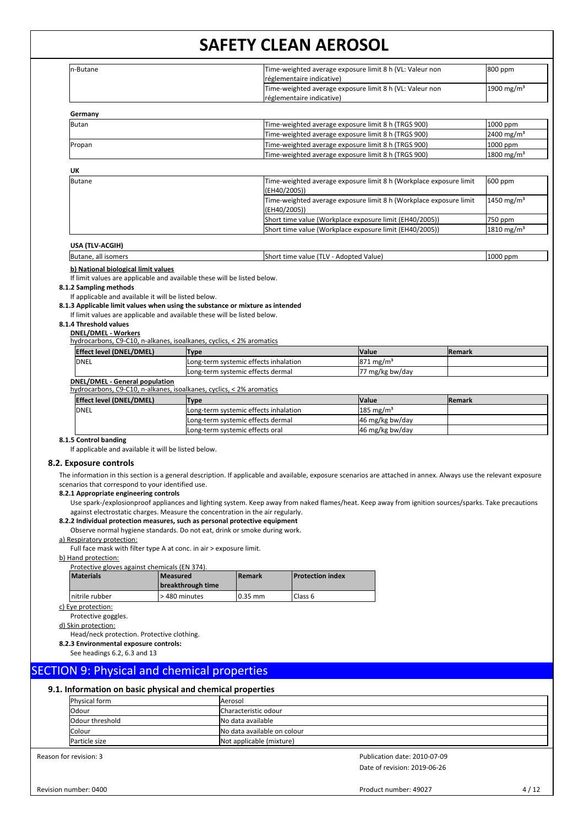| In-Butane                                                                                                                              |                                                                                                                                                                                                                                   | Time-weighted average exposure limit 8 h (VL: Valeur non<br>réglementaire indicative) |                                                                    | 800 ppm       |                        |
|----------------------------------------------------------------------------------------------------------------------------------------|-----------------------------------------------------------------------------------------------------------------------------------------------------------------------------------------------------------------------------------|---------------------------------------------------------------------------------------|--------------------------------------------------------------------|---------------|------------------------|
|                                                                                                                                        |                                                                                                                                                                                                                                   | réglementaire indicative)                                                             | Time-weighted average exposure limit 8 h (VL: Valeur non           |               | 1900 mg/m <sup>3</sup> |
| Germany                                                                                                                                |                                                                                                                                                                                                                                   |                                                                                       |                                                                    |               |                        |
| <b>Butan</b>                                                                                                                           |                                                                                                                                                                                                                                   |                                                                                       | Time-weighted average exposure limit 8 h (TRGS 900)                |               | 1000 ppm               |
|                                                                                                                                        |                                                                                                                                                                                                                                   |                                                                                       | Time-weighted average exposure limit 8 h (TRGS 900)                |               | 2400 mg/m <sup>3</sup> |
| Propan                                                                                                                                 |                                                                                                                                                                                                                                   |                                                                                       | Time-weighted average exposure limit 8 h (TRGS 900)                |               | 1000 ppm               |
|                                                                                                                                        |                                                                                                                                                                                                                                   |                                                                                       | Time-weighted average exposure limit 8 h (TRGS 900)                |               | 1800 mg/m <sup>3</sup> |
| UK                                                                                                                                     |                                                                                                                                                                                                                                   |                                                                                       |                                                                    |               |                        |
| <b>Butane</b>                                                                                                                          |                                                                                                                                                                                                                                   | (EH40/2005))                                                                          | Time-weighted average exposure limit 8 h (Workplace exposure limit |               | 600 ppm                |
|                                                                                                                                        |                                                                                                                                                                                                                                   | (EH40/2005))                                                                          | Time-weighted average exposure limit 8 h (Workplace exposure limit |               | 1450 mg/m <sup>3</sup> |
|                                                                                                                                        |                                                                                                                                                                                                                                   | Short time value (Workplace exposure limit (EH40/2005))                               |                                                                    |               | 750 ppm                |
|                                                                                                                                        |                                                                                                                                                                                                                                   |                                                                                       | Short time value (Workplace exposure limit (EH40/2005))            |               | 1810 mg/m <sup>3</sup> |
| USA (TLV-ACGIH)                                                                                                                        |                                                                                                                                                                                                                                   |                                                                                       |                                                                    |               |                        |
| Butane, all isomers                                                                                                                    |                                                                                                                                                                                                                                   | Short time value (TLV - Adopted Value)                                                |                                                                    |               | 1000 ppm               |
| If limit values are applicable and available these will be listed below.                                                               |                                                                                                                                                                                                                                   |                                                                                       |                                                                    |               |                        |
| 8.1.2 Sampling methods<br>If applicable and available it will be listed below.<br>8.1.4 Threshold values<br><b>DNEL/DMEL - Workers</b> | 8.1.3 Applicable limit values when using the substance or mixture as intended<br>If limit values are applicable and available these will be listed below.<br>hydrocarbons, C9-C10, n-alkanes, isoalkanes, cyclics, < 2% aromatics |                                                                                       |                                                                    |               |                        |
| <b>Effect level (DNEL/DMEL)</b>                                                                                                        | <b>Type</b>                                                                                                                                                                                                                       |                                                                                       | Value                                                              | <b>Remark</b> |                        |
| <b>DNEL</b>                                                                                                                            | Long-term systemic effects inhalation                                                                                                                                                                                             |                                                                                       | $871 \text{ mg/m}^3$                                               |               |                        |
|                                                                                                                                        | Long-term systemic effects dermal                                                                                                                                                                                                 |                                                                                       | 77 mg/kg bw/day                                                    |               |                        |
| <b>DNEL/DMEL - General population</b>                                                                                                  | hydrocarbons, C9-C10, n-alkanes, isoalkanes, cyclics, < 2% aromatics                                                                                                                                                              |                                                                                       |                                                                    |               |                        |
| <b>Effect level (DNEL/DMEL)</b>                                                                                                        | <b>Type</b>                                                                                                                                                                                                                       |                                                                                       | Value                                                              | Remark        |                        |
| <b>DNEL</b>                                                                                                                            | Long-term systemic effects inhalation                                                                                                                                                                                             |                                                                                       | 185 mg/m <sup>3</sup>                                              |               |                        |
|                                                                                                                                        | Long-term systemic effects dermal                                                                                                                                                                                                 |                                                                                       | 46 mg/kg bw/day                                                    |               |                        |

#### **8.2. Exposure controls**

The information in this section is a general description. If applicable and available, exposure scenarios are attached in annex. Always use the relevant exposure scenarios that correspond to your identified use.

### **8.2.1 Appropriate engineering controls**

Use spark-/explosionproof appliances and lighting system. Keep away from naked flames/heat. Keep away from ignition sources/sparks. Take precautions against electrostatic charges. Measure the concentration in the air regularly.

#### **8.2.2 Individual protection measures, such as personal protective equipment**

Observe normal hygiene standards. Do not eat, drink or smoke during work.

#### a) Respiratory protection:

Full face mask with filter type A at conc. in air > exposure limit.

#### b) Hand protection:

| Protective gloves against chemicals (EN 374). |                               |               |                         |  |  |  |  |
|-----------------------------------------------|-------------------------------|---------------|-------------------------|--|--|--|--|
| <b>Materials</b>                              | Measured<br>breakthrough time | <b>Remark</b> | <b>Protection index</b> |  |  |  |  |
| nitrile rubber                                | >480 minutes                  | l 0.35 mm     | Class 6                 |  |  |  |  |

#### c) Eye protection:

Protective goggles.

d) Skin protection:

### Head/neck protection. Protective clothing.

**8.2.3 Environmental exposure controls:**

See headings 6.2, 6.3 and 13

## SECTION 9: Physical and chemical properties

## **9.1. Information on basic physical and chemical properties**

| <b>Physical form</b> | <b>Aerosol</b>              |
|----------------------|-----------------------------|
| Odour                | Characteristic odour        |
| lOdour threshold     | No data available           |
| Colour               | No data available on colour |
| Particle size        | Not applicable (mixture)    |

Reason for revision: 3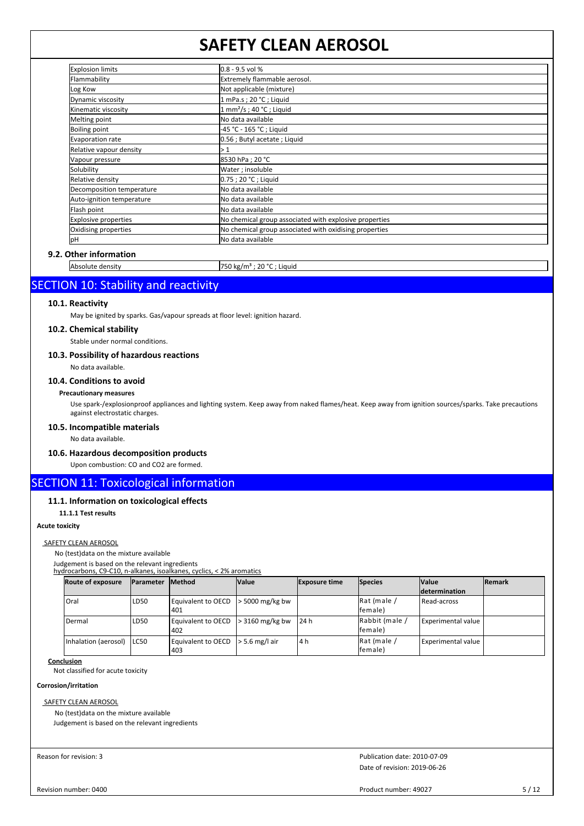| <b>Explosion limits</b>     | $0.8 - 9.5$ vol %                                      |
|-----------------------------|--------------------------------------------------------|
| Flammability                | Extremely flammable aerosol.                           |
| Log Kow                     | Not applicable (mixture)                               |
| Dynamic viscosity           | 1 mPa.s; 20 °C; Liquid                                 |
| Kinematic viscosity         | $1$ mm <sup>2</sup> /s; 40 °C; Liquid                  |
| Melting point               | No data available                                      |
| <b>Boiling point</b>        | -45 °C - 165 °C ; Liquid                               |
| Evaporation rate            | 0.56 ; Butyl acetate ; Liquid                          |
| Relative vapour density     | >1                                                     |
| Vapour pressure             | 8530 hPa; 20 °C                                        |
| Solubility                  | Water; insoluble                                       |
| Relative density            | 0.75 ; 20 °C ; Liquid                                  |
| Decomposition temperature   | No data available                                      |
| Auto-ignition temperature   | No data available                                      |
| Flash point                 | No data available                                      |
| <b>Explosive properties</b> | No chemical group associated with explosive properties |
| Oxidising properties        | No chemical group associated with oxidising properties |
| pH                          | No data available                                      |

## **9.2. Other information**

| $\mathbf{u}$<br>nsn | uĸ<br>. . |  |
|---------------------|-----------|--|
|                     |           |  |

## SECTION 10: Stability and reactivity

## **10.1. Reactivity**

May be ignited by sparks. Gas/vapour spreads at floor level: ignition hazard.

#### **10.2. Chemical stability**

Stable under normal conditions.

### **10.3. Possibility of hazardous reactions**

No data available.

## **10.4. Conditions to avoid**

## **Precautionary measures**

Use spark-/explosionproof appliances and lighting system. Keep away from naked flames/heat. Keep away from ignition sources/sparks. Take precautions against electrostatic charges.

## **10.5. Incompatible materials**

No data available.

## **10.6. Hazardous decomposition products**

Upon combustion: CO and CO2 are formed.

## SECTION 11: Toxicological information

## **11.1. Information on toxicological effects**

**11.1.1 Test results**

## **Acute toxicity**

#### SAFETY CLEAN AEROSOL

No (test)data on the mixture available

Judgement is based on the relevant ingredients

hydrocarbons, C9-C10, n-alkanes, isoalkanes, cyclics, < 2% aromatics

| <b>Route of exposure</b>    | <b>IParameter</b> | <b>Method</b>             | <b>Value</b>      | <b>Exposure time</b> | Species                    | <b>Value</b>              | <b>IRemark</b> |
|-----------------------------|-------------------|---------------------------|-------------------|----------------------|----------------------------|---------------------------|----------------|
|                             |                   |                           |                   |                      |                            | determination             |                |
| Oral                        | LD <sub>50</sub>  | Equivalent to OECD<br>401 | $>$ 5000 mg/kg bw |                      | Rat (male /<br>lfemale)    | Read-across               |                |
| Dermal                      | LD <sub>50</sub>  | Equivalent to OECD<br>402 | $>$ 3160 mg/kg bw | 24 h                 | Rabbit (male /<br>lfemale) | <b>Experimental value</b> |                |
| Inhalation (aerosol)   LC50 |                   | Equivalent to OECD<br>403 | $> 5.6$ mg/l air  | 4 h                  | Rat (male /<br>lfemale)    | <b>Experimental value</b> |                |

## **Conclusion**

Not classified for acute toxicity

## **Corrosion/irritation**

**SAFETY CLEAN AEROSOL** 

No (test)data on the mixture available

Judgement is based on the relevant ingredients

Reason for revision: 3

Date of revision: 2019-06-26 Publication date: 2010-07-09

Revision number: 0400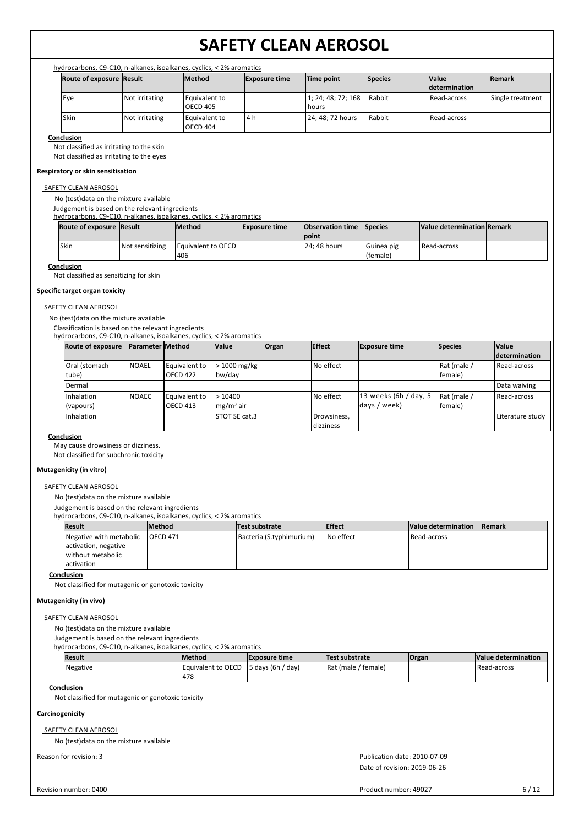| hydrocarbons, C9-C10, n-alkanes, isoalkanes, cyclics, < 2% aromatics |                |                                  |                      |                             |                |                                       |                  |  |
|----------------------------------------------------------------------|----------------|----------------------------------|----------------------|-----------------------------|----------------|---------------------------------------|------------------|--|
| <b>Route of exposure Result</b>                                      |                | <b>Method</b>                    | <b>Exposure time</b> | Time point                  | <b>Species</b> | <b>Nalue</b><br><b>Idetermination</b> | <b>Remark</b>    |  |
| Eye                                                                  | Not irritating | Equivalent to<br><b>OECD 405</b> |                      | 1; 24; 48; 72; 168<br>hours | l Rabbit       | <b>I</b> Read-across                  | Single treatment |  |
| Skin                                                                 | Not irritating | Equivalent to<br><b>OECD 404</b> | l4h                  | 24: 48: 72 hours            | Rabbit         | Read-across                           |                  |  |

#### **Conclusion**

Not classified as irritating to the skin

Not classified as irritating to the eyes

#### **Respiratory or skin sensitisation**

## SAFETY CLEAN AEROSOL

No (test)data on the mixture available

Judgement is based on the relevant ingredients

hydrocarbons, C9-C10, n-alkanes, isoalkanes, cyclics, < 2% aromatics

| Route of exposure Result |                 | <b>Method</b>                      | <b>Exposure time</b> | <b>Observation time</b> Species<br><b>lpoint</b> |                          | Value determination Remark |  |
|--------------------------|-----------------|------------------------------------|----------------------|--------------------------------------------------|--------------------------|----------------------------|--|
| 'Skin                    | Not sensitizing | <b>I Equivalent to OECD</b><br>406 |                      | 24: 48 hours                                     | l Guinea pig<br>(female) | Read-across                |  |

**Conclusion**

Not classified as sensitizing for skin

## **Specific target organ toxicity**

### SAFETY CLEAN AEROSOL

No (test)data on the mixture available

Classification is based on the relevant ingredients

## hydrocarbons, C9-C10, n-alkanes, isoalkanes, cyclics, < 2% aromatics

| <b>Route of exposure</b> | <b>Parameter Method</b> |                                  | <b>Value</b>                                       | <b>Organ</b> | <b>Effect</b>            | <b>Exposure time</b>                    | <b>Species</b>         | <b>Value</b>     |
|--------------------------|-------------------------|----------------------------------|----------------------------------------------------|--------------|--------------------------|-----------------------------------------|------------------------|------------------|
|                          |                         |                                  |                                                    |              |                          |                                         |                        | determination    |
| Oral (stomach<br>tube)   | <b>NOAEL</b>            | Equivalent to<br><b>OECD 422</b> | > 1000 mg/kg<br>bw/day                             |              | No effect                |                                         | Rat (male /<br>female) | Read-across      |
| Dermal                   |                         |                                  |                                                    |              |                          |                                         |                        | Data waiving     |
| Inhalation<br>(vapours)  | <b>NOAEC</b>            | Equivalent to<br><b>OECD 413</b> | >10400<br>$\mathsf{Im}\mathsf{g}/\mathsf{m}^3$ air |              | No effect                | $13$ weeks (6h / day, 5<br>days / week) | Rat (male /<br>female) | Read-across      |
| Inhalation               |                         |                                  | STOT SE cat.3                                      |              | Drowsiness,<br>dizziness |                                         |                        | Literature study |

#### **Conclusion**

May cause drowsiness or dizziness.

Not classified for subchronic toxicity

#### **Mutagenicity (in vitro)**

#### SAFETY CLEAN AEROSOL

No (test)data on the mixture available

Judgement is based on the relevant ingredients

#### hydrocarbons, C9-C10, n-alkanes, isoalkanes, cyclics, < 2% aromatics

| <b>Result</b>           | <b>Method</b> | Test substrate           | <b>IEffect</b> | Value determination | <b>Remark</b> |
|-------------------------|---------------|--------------------------|----------------|---------------------|---------------|
| Negative with metabolic | IOECD 471     | Bacteria (S.typhimurium) | I No effect    | l Read-across       |               |
| activation, negative    |               |                          |                |                     |               |
| without metabolic       |               |                          |                |                     |               |
| l activation            |               |                          |                |                     |               |

**Conclusion**

Not classified for mutagenic or genotoxic toxicity

#### **Mutagenicity (in vivo)**

## SAFETY CLEAN AEROSOL

No (test)data on the mixture available

Judgement is based on the relevant ingredients

hydrocarbons, C9-C10, n-alkanes, isoalkanes, cyclics, < 2% aromatics

| Result   | <b>Method</b>                                | <b>Exposure time</b> | Test substrate      | <b>Organ</b> | Value determination |
|----------|----------------------------------------------|----------------------|---------------------|--------------|---------------------|
| Negative | Equivalent to OECD $\vert$ 5 days (6h / day) |                      | Rat (male / female) |              | Read-across         |
|          | 478                                          |                      |                     |              |                     |

## **Conclusion**

Not classified for mutagenic or genotoxic toxicity

## **Carcinogenicity**

## SAFETY CLEAN AEROSOL

No (test)data on the mixture available

Reason for revision: 3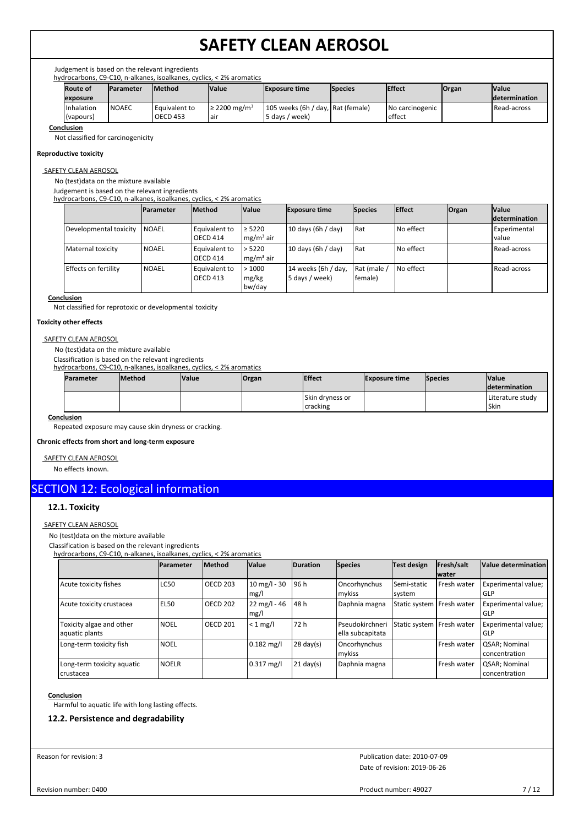Judgement is based on the relevant ingredients

| hydrocarbons, C9-C10, n-alkanes, isoalkanes, cyclics, < 2% aromatics |                 |                  |               |                               |                                   |                |                 |              |                       |
|----------------------------------------------------------------------|-----------------|------------------|---------------|-------------------------------|-----------------------------------|----------------|-----------------|--------------|-----------------------|
|                                                                      | <b>Route of</b> | <b>Parameter</b> | <b>Method</b> | <b>Value</b>                  | <b>Exposure time</b>              | <b>Species</b> | <b>Effect</b>   | <b>Organ</b> | <b>Nalue</b>          |
|                                                                      | exposure        |                  |               |                               |                                   |                |                 |              | <b>Idetermination</b> |
|                                                                      | Inhalation      | <b>NOAEC</b>     | Equivalent to | $\geq$ 2200 mg/m <sup>3</sup> | 105 weeks (6h / day, Rat (female) |                | No carcinogenic |              | l Read-across         |
|                                                                      | (vapours)       |                  | OECD 453      | . air                         | 5 days / week)                    |                | effect          |              |                       |

**Conclusion**

Not classified for carcinogenicity

### **Reproductive toxicity**

## SAFETY CLEAN AEROSOL

No (test)data on the mixture available

Judgement is based on the relevant ingredients

hydrocarbons, C9-C10, n-alkanes, isoalkanes, cyclics, < 2% aromatics

|                        | <b>Parameter</b> | <b>Method</b>                    | <b>Value</b>               | <b>Exposure time</b>                  | <b>Species</b>         | <b>Effect</b> | <b>Organ</b> | <b>Value</b>                   |
|------------------------|------------------|----------------------------------|----------------------------|---------------------------------------|------------------------|---------------|--------------|--------------------------------|
|                        |                  |                                  |                            |                                       |                        |               |              | <b>Idetermination</b>          |
| Developmental toxicity | <b>INOAEL</b>    | Equivalent to<br><b>OECD 414</b> | $\geq 5220$<br>$mg/m3$ air | 10 days (6h / day)                    | l Rat                  | No effect     |              | <b>Experimental</b><br>l value |
| Maternal toxicity      | <b>I</b> NOAEL   | Equivalent to<br><b>OECD 414</b> | > 5220<br>$mg/m3$ air      | 10 days (6h / day)                    | l Rat                  | No effect     |              | Read-across                    |
| Effects on fertility   | <b>NOAEL</b>     | Equivalent to<br><b>OECD 413</b> | >1000<br>mg/kg<br>bw/day   | 14 weeks (6h / day,<br>5 days / week) | Rat (male /<br>(female | No effect     |              | Read-across                    |

#### **Conclusion**

Not classified for reprotoxic or developmental toxicity

#### **Toxicity other effects**

## SAFETY CLEAN AEROSOL

No (test)data on the mixture available

Classification is based on the relevant ingredients

hydrocarbons, C9-C10, n-alkanes, isoalkanes, cyclics, < 2% aromatics **Parameter** Method **Value Organ Effect Exposure time Species Value determination** Skin dryness or cracking Literature study Skin

### **Conclusion**

Repeated exposure may cause skin dryness or cracking.

**Chronic effects from short and long-term exposure**

### SAFETY CLEAN AEROSOL

No effects known.

## SECTION 12: Ecological information

## **12.1. Toxicity**

## SAFETY CLEAN AEROSOL

No (test)data on the mixture available

Classification is based on the relevant ingredients

hydrocarbons, C9-C10, n-alkanes, isoalkanes, cyclics, < 2% aromatics

|                                            | <b>IParameter</b> | <b>Method</b>   | Value                          | <b>Duration</b>     | <b>Species</b>                     | Test design                 | Fresh/salt<br><b>water</b> | Value determination                    |
|--------------------------------------------|-------------------|-----------------|--------------------------------|---------------------|------------------------------------|-----------------------------|----------------------------|----------------------------------------|
| Acute toxicity fishes                      | <b>LC50</b>       | <b>OECD 203</b> | $10$ mg/l - 30<br>mg/l         | 96 h                | Oncorhynchus<br>mykiss             | Semi-static<br>system       | Fresh water                | Experimental value;<br>GLP             |
| Acute toxicity crustacea                   | EL50              | <b>OECD 202</b> | $22 \text{ mg/l} - 46$<br>mg/l | 48 h                | Daphnia magna                      | Static system   Fresh water |                            | Experimental value;<br>GLP             |
| Toxicity algae and other<br>aquatic plants | <b>NOEL</b>       | <b>OECD 201</b> | $< 1$ mg/l                     | 72 h                | Pseudokirchner<br>ella subcapitata | Static system   Fresh water |                            | Experimental value;<br>GLP             |
| Long-term toxicity fish                    | <b>NOEL</b>       |                 | $0.182$ mg/l                   | $28 \text{ day}(s)$ | Oncorhynchus<br>mykiss             |                             | Fresh water                | <b>QSAR</b> ; Nominal<br>concentration |
| Long-term toxicity aquatic<br>crustacea    | <b>NOELR</b>      |                 | $0.317$ mg/l                   | $21 \text{ day}(s)$ | Daphnia magna                      |                             | Fresh water                | <b>QSAR</b> ; Nominal<br>concentration |

## **Conclusion**

Harmful to aquatic life with long lasting effects.

## **12.2. Persistence and degradability**

Reason for revision: 3

Date of revision: 2019-06-26 Publication date: 2010-07-09

Revision number: 0400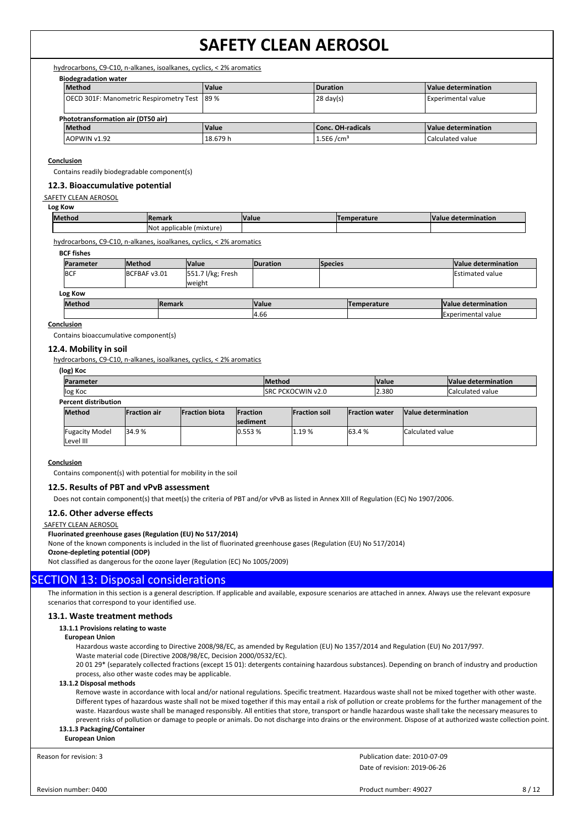hydrocarbons, C9-C10, n-alkanes, isoalkanes, cyclics, < 2% aromatics

|--|

|                                               | <b>Method</b>                      | Value    | <b>Duration</b>          | Value determination       |
|-----------------------------------------------|------------------------------------|----------|--------------------------|---------------------------|
| OECD 301F: Manometric Respirometry Test  89 % |                                    |          | $28 \text{ day(s)}$      | <b>Experimental value</b> |
|                                               |                                    |          |                          |                           |
|                                               | Phototransformation air (DT50 air) |          |                          |                           |
|                                               | <b>Method</b>                      | Value    | Conc. OH-radicals        | Value determination       |
|                                               | LAOPWIN v1.92                      | 18.679 h | $1.5E6$ /cm <sup>3</sup> | Calculated value          |

#### **Conclusion**

Contains readily biodegradable component(s)

### **12.3. Bioaccumulative potential**

#### SAFETY CLEAN AEROSOL

#### **Log Kow**

| <b>Method</b><br><b>IRemark</b> |                         | <b>Value</b> | nperature<br>Тоі | <b>Valu</b><br>: determination |
|---------------------------------|-------------------------|--------------|------------------|--------------------------------|
| <b>No</b>                       | 'mixture.<br>applicable |              |                  |                                |

hydrocarbons, C9-C10, n-alkanes, isoalkanes, cyclics, < 2% aromatics

| <b>BCF fishes</b> |               |                |                             |                 |                |                    |                           |
|-------------------|---------------|----------------|-----------------------------|-----------------|----------------|--------------------|---------------------------|
| Parameter         | <b>Method</b> |                | <b>Value</b>                | <b>Duration</b> | <b>Species</b> |                    | Value determination       |
| <b>BCF</b>        | BCFBAF v3.01  |                | 551.7 l/kg; Fresh<br>weight |                 |                |                    | <b>IEstimated value</b>   |
| Log Kow           |               |                |                             |                 |                |                    |                           |
| <b>Method</b>     |               | <b>IRemark</b> |                             | <b>Value</b>    |                | <b>Temperature</b> | Value determination       |
|                   |               |                |                             | 4.66            |                |                    | <b>Experimental value</b> |

#### **Conclusion**

Contains bioaccumulative component(s)

## **12.4. Mobility in soil**

hydrocarbons, C9-C10, n-alkanes, isoalkanes, cyclics, < 2% aromatics

| (log) Koc                   |                     |                       |                  |               |                           |                        |              |                         |                         |
|-----------------------------|---------------------|-----------------------|------------------|---------------|---------------------------|------------------------|--------------|-------------------------|-------------------------|
| Parameter                   |                     |                       |                  | <b>Method</b> |                           |                        | <b>Value</b> |                         | Value determination     |
| log Koc                     |                     |                       |                  |               | <b>ISRC PCKOCWIN v2.0</b> |                        | 2.380        |                         | <b>Calculated value</b> |
| <b>Percent distribution</b> |                     |                       |                  |               |                           |                        |              |                         |                         |
| <b>Method</b>               | <b>Fraction air</b> | <b>Fraction biota</b> | <b>IFraction</b> |               | <b>Fraction soil</b>      | <b>IFraction water</b> |              | Value determination     |                         |
|                             |                     |                       | <b>Isediment</b> |               |                           |                        |              |                         |                         |
| <b>Fugacity Model</b>       | 34.9%               |                       | 0.553%           |               | 1.19%                     | 63.4 %                 |              | <b>Calculated value</b> |                         |
| Level III                   |                     |                       |                  |               |                           |                        |              |                         |                         |

#### **Conclusion**

Contains component(s) with potential for mobility in the soil

## **12.5. Results of PBT and vPvB assessment**

Does not contain component(s) that meet(s) the criteria of PBT and/or vPvB as listed in Annex XIII of Regulation (EC) No 1907/2006.

### **12.6. Other adverse effects**

## SAFETY CLEAN AEROSOL

#### **Fluorinated greenhouse gases (Regulation (EU) No 517/2014)**

None of the known components is included in the list of fluorinated greenhouse gases (Regulation (EU) No 517/2014)

## **Ozone-depleting potential (ODP)**

Not classified as dangerous for the ozone layer (Regulation (EC) No 1005/2009)

## SECTION 13: Disposal considerations

The information in this section is a general description. If applicable and available, exposure scenarios are attached in annex. Always use the relevant exposure scenarios that correspond to your identified use.

### **13.1. Waste treatment methods**

#### **13.1.1 Provisions relating to waste**

#### **European Union**

Hazardous waste according to Directive 2008/98/EC, as amended by Regulation (EU) No 1357/2014 and Regulation (EU) No 2017/997.

Waste material code (Directive 2008/98/EC, Decision 2000/0532/EC).

20 01 29\* (separately collected fractions (except 15 01): detergents containing hazardous substances). Depending on branch of industry and production process, also other waste codes may be applicable.

## **13.1.2 Disposal methods**

Remove waste in accordance with local and/or national regulations. Specific treatment. Hazardous waste shall not be mixed together with other waste. Different types of hazardous waste shall not be mixed together if this may entail a risk of pollution or create problems for the further management of the waste. Hazardous waste shall be managed responsibly. All entities that store, transport or handle hazardous waste shall take the necessary measures to prevent risks of pollution or damage to people or animals. Do not discharge into drains or the environment. Dispose of at authorized waste collection point. **13.1.3 Packaging/Container**

## **European Union**

Reason for revision: 3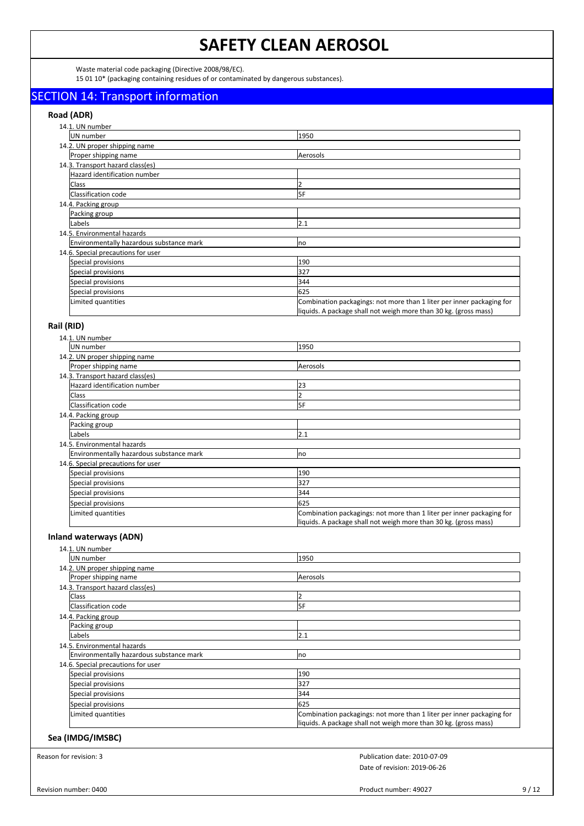Waste material code packaging (Directive 2008/98/EC).

15 01 10\* (packaging containing residues of or contaminated by dangerous substances).

## SECTION 14: Transport information

## **Road (ADR)**

| 14.1. UN number                          |                                                                                                                                           |
|------------------------------------------|-------------------------------------------------------------------------------------------------------------------------------------------|
| UN number                                | 1950                                                                                                                                      |
| 14.2. UN proper shipping name            |                                                                                                                                           |
| Proper shipping name                     | Aerosols                                                                                                                                  |
| 14.3. Transport hazard class(es)         |                                                                                                                                           |
| Hazard identification number             |                                                                                                                                           |
| <b>Class</b>                             |                                                                                                                                           |
| Classification code                      | 5F                                                                                                                                        |
| 14.4. Packing group                      |                                                                                                                                           |
| Packing group                            |                                                                                                                                           |
| Labels                                   | 2.1                                                                                                                                       |
| 14.5. Environmental hazards              |                                                                                                                                           |
| Environmentally hazardous substance mark | no                                                                                                                                        |
| 14.6. Special precautions for user       |                                                                                                                                           |
| Special provisions                       | 190                                                                                                                                       |
| Special provisions                       | 327                                                                                                                                       |
| Special provisions                       | 344                                                                                                                                       |
| Special provisions                       | 625                                                                                                                                       |
| Limited quantities                       | Combination packagings: not more than 1 liter per inner packaging for<br>liquids. A package shall not weigh more than 30 kg. (gross mass) |

## **Rail (RID)**

| 14.1. UN number                          |                                                                                                                                           |
|------------------------------------------|-------------------------------------------------------------------------------------------------------------------------------------------|
| UN number                                | 1950                                                                                                                                      |
| 14.2. UN proper shipping name            |                                                                                                                                           |
| Proper shipping name                     | Aerosols                                                                                                                                  |
| 14.3. Transport hazard class(es)         |                                                                                                                                           |
| Hazard identification number             | 23                                                                                                                                        |
| Class                                    |                                                                                                                                           |
| Classification code                      | 5F                                                                                                                                        |
| 14.4. Packing group                      |                                                                                                                                           |
| Packing group                            |                                                                                                                                           |
| Labels                                   | 2.1                                                                                                                                       |
| 14.5. Environmental hazards              |                                                                                                                                           |
| Environmentally hazardous substance mark | Ino                                                                                                                                       |
| 14.6. Special precautions for user       |                                                                                                                                           |
| Special provisions                       | 190                                                                                                                                       |
| Special provisions                       | 327                                                                                                                                       |
| Special provisions                       | 344                                                                                                                                       |
| Special provisions                       | 625                                                                                                                                       |
| Limited quantities                       | Combination packagings: not more than 1 liter per inner packaging for<br>liquids. A package shall not weigh more than 30 kg. (gross mass) |

## **Inland waterways (ADN)**

| 14.1. UN number                          |                                                                                                                                           |  |
|------------------------------------------|-------------------------------------------------------------------------------------------------------------------------------------------|--|
| UN number                                | 1950                                                                                                                                      |  |
| 14.2. UN proper shipping name            |                                                                                                                                           |  |
| Proper shipping name                     | Aerosols                                                                                                                                  |  |
| 14.3. Transport hazard class(es)         |                                                                                                                                           |  |
| <b>Class</b>                             |                                                                                                                                           |  |
| Classification code                      | l5F                                                                                                                                       |  |
| 14.4. Packing group                      |                                                                                                                                           |  |
| Packing group                            |                                                                                                                                           |  |
| Labels                                   | 2.1                                                                                                                                       |  |
| 14.5. Environmental hazards              |                                                                                                                                           |  |
| Environmentally hazardous substance mark | no                                                                                                                                        |  |
| 14.6. Special precautions for user       |                                                                                                                                           |  |
| Special provisions                       | 190                                                                                                                                       |  |
| Special provisions                       | 327                                                                                                                                       |  |
| Special provisions                       | 344                                                                                                                                       |  |
| Special provisions                       | 625                                                                                                                                       |  |
| Limited quantities                       | Combination packagings: not more than 1 liter per inner packaging for<br>liquids. A package shall not weigh more than 30 kg. (gross mass) |  |

## **Sea (IMDG/IMSBC)**

Reason for revision: 3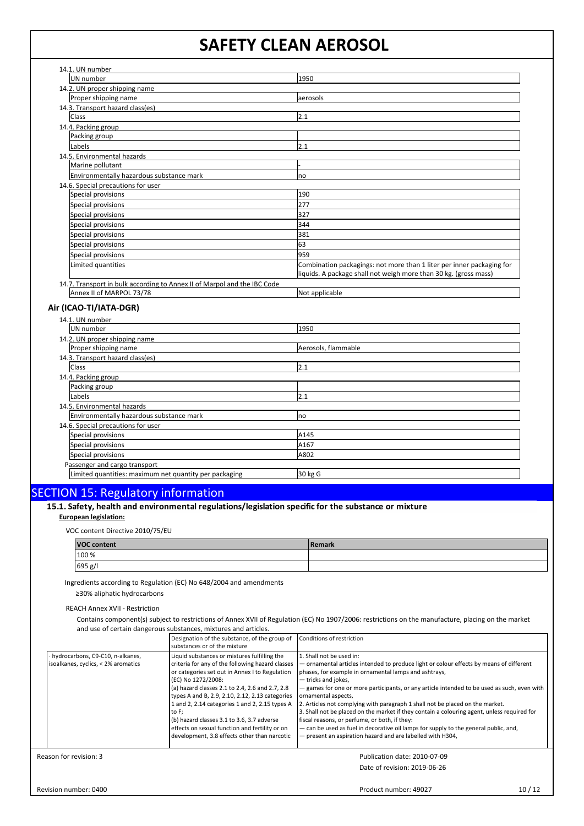| UN number                                                                | 1950                                                                                                                                      |
|--------------------------------------------------------------------------|-------------------------------------------------------------------------------------------------------------------------------------------|
| 14.2. UN proper shipping name                                            |                                                                                                                                           |
| Proper shipping name                                                     | aerosols                                                                                                                                  |
| 14.3. Transport hazard class(es)                                         |                                                                                                                                           |
| <b>Class</b>                                                             | 2.1                                                                                                                                       |
| 14.4. Packing group                                                      |                                                                                                                                           |
| Packing group                                                            |                                                                                                                                           |
| Labels                                                                   | 2.1                                                                                                                                       |
| 14.5. Environmental hazards                                              |                                                                                                                                           |
| Marine pollutant                                                         |                                                                                                                                           |
| Environmentally hazardous substance mark                                 | no                                                                                                                                        |
| 14.6. Special precautions for user                                       |                                                                                                                                           |
| Special provisions                                                       | 190                                                                                                                                       |
| Special provisions                                                       | 277                                                                                                                                       |
| Special provisions                                                       | 327                                                                                                                                       |
| Special provisions                                                       | 344                                                                                                                                       |
| Special provisions                                                       | 381                                                                                                                                       |
| Special provisions                                                       | 63                                                                                                                                        |
| Special provisions                                                       | 959                                                                                                                                       |
| Limited quantities                                                       | Combination packagings: not more than 1 liter per inner packaging for<br>liquids. A package shall not weigh more than 30 kg. (gross mass) |
| 14.7. Transport in bulk according to Annex II of Marpol and the IBC Code |                                                                                                                                           |
| Annex II of MARPOL 73/78                                                 | Not applicable                                                                                                                            |

### **Air (ICAO-TI/IATA-DGR)**

| 14.1. UN number                                        |                     |
|--------------------------------------------------------|---------------------|
| UN number                                              | 1950                |
| 14.2. UN proper shipping name                          |                     |
| Proper shipping name                                   | Aerosols, flammable |
| 14.3. Transport hazard class(es)                       |                     |
| <b>Class</b>                                           | 2.1                 |
| 14.4. Packing group                                    |                     |
| Packing group                                          |                     |
| Labels                                                 | 2.1                 |
| 14.5. Environmental hazards                            |                     |
| Environmentally hazardous substance mark               | no                  |
| 14.6. Special precautions for user                     |                     |
| Special provisions                                     | A145                |
| Special provisions                                     | A167                |
| Special provisions                                     | A802                |
| Passenger and cargo transport                          |                     |
| Limited quantities: maximum net quantity per packaging | 30 kg G             |

# SECTION 15: Regulatory information

| 15.1. Safety, health and environmental regulations/legislation specific for the substance or mixture |
|------------------------------------------------------------------------------------------------------|
| <b>European legislation:</b>                                                                         |

VOC content Directive 2010/75/EU

| <b>VOC content</b> | 'Remark |
|--------------------|---------|
| 100 %              |         |
| 695 g/l            |         |

Ingredients according to Regulation (EC) No 648/2004 and amendments

≥30% aliphatic hydrocarbons

REACH Annex XVII - Restriction

Contains component(s) subject to restrictions of Annex XVII of Regulation (EC) No 1907/2006: restrictions on the manufacture, placing on the market and use of certain dangerous substances, mixtures and articles.

|                                                                           | Designation of the substance, of the group of<br>substances or of the mixture                                                                                                                                                                                                                                                                                                                                                                                                             | Conditions of restriction                                                                                                                                                                                                                                                                                                                                                                                                                                                                                                                                                                                                                                                                                        |
|---------------------------------------------------------------------------|-------------------------------------------------------------------------------------------------------------------------------------------------------------------------------------------------------------------------------------------------------------------------------------------------------------------------------------------------------------------------------------------------------------------------------------------------------------------------------------------|------------------------------------------------------------------------------------------------------------------------------------------------------------------------------------------------------------------------------------------------------------------------------------------------------------------------------------------------------------------------------------------------------------------------------------------------------------------------------------------------------------------------------------------------------------------------------------------------------------------------------------------------------------------------------------------------------------------|
| · hydrocarbons, C9-C10, n-alkanes,<br>isoalkanes, cyclics, < 2% aromatics | Liquid substances or mixtures fulfilling the<br>criteria for any of the following hazard classes<br>or categories set out in Annex I to Regulation<br>(EC) No 1272/2008:<br>(a) hazard classes 2.1 to 2.4, 2.6 and 2.7, 2.8<br>types A and B, 2.9, 2.10, 2.12, 2.13 categories<br>1 and 2, 2.14 categories 1 and 2, 2.15 types A<br>to F:<br>(b) hazard classes 3.1 to 3.6, 3.7 adverse<br>effects on sexual function and fertility or on<br>development, 3.8 effects other than narcotic | 1. Shall not be used in:<br>- ornamental articles intended to produce light or colour effects by means of different<br>phases, for example in ornamental lamps and ashtrays,<br>- tricks and jokes.<br>- games for one or more participants, or any article intended to be used as such, even with<br>ornamental aspects.<br>2. Articles not complying with paragraph 1 shall not be placed on the market.<br>3. Shall not be placed on the market if they contain a colouring agent, unless required for<br>fiscal reasons, or perfume, or both, if they:<br>- can be used as fuel in decorative oil lamps for supply to the general public, and,<br>- present an aspiration hazard and are labelled with H304, |
| eason for revision: 3                                                     |                                                                                                                                                                                                                                                                                                                                                                                                                                                                                           | Publication date: 2010-07-09                                                                                                                                                                                                                                                                                                                                                                                                                                                                                                                                                                                                                                                                                     |

Reason for revision: 3

Date of revision: 2019-06-26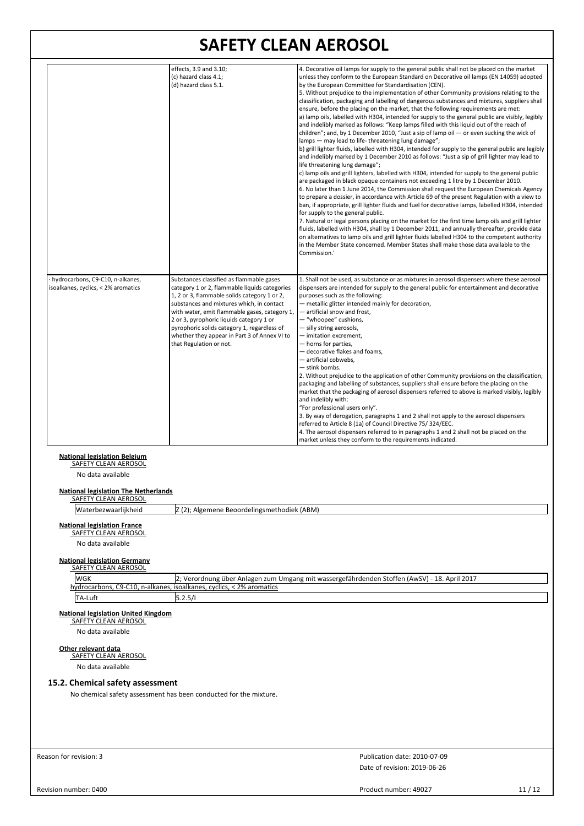|                                                                                      | effects, 3.9 and 3.10;<br>(c) hazard class 4.1;<br>(d) hazard class 5.1.                                                                                                                                                                                                                                                                                                                                      | 4. Decorative oil lamps for supply to the general public shall not be placed on the market<br>unless they conform to the European Standard on Decorative oil lamps (EN 14059) adopted<br>by the European Committee for Standardisation (CEN).<br>5. Without prejudice to the implementation of other Community provisions relating to the<br>classification, packaging and labelling of dangerous substances and mixtures, suppliers shall<br>ensure, before the placing on the market, that the following requirements are met:<br>a) lamp oils, labelled with H304, intended for supply to the general public are visibly, legibly<br>and indelibly marked as follows: "Keep lamps filled with this liquid out of the reach of<br>children"; and, by 1 December 2010, "Just a sip of lamp oil - or even sucking the wick of<br>lamps - may lead to life-threatening lung damage";<br>b) grill lighter fluids, labelled with H304, intended for supply to the general public are legibly<br>and indelibly marked by 1 December 2010 as follows: "Just a sip of grill lighter may lead to<br>life threatening lung damage";<br>c) lamp oils and grill lighters, labelled with H304, intended for supply to the general public<br>are packaged in black opaque containers not exceeding 1 litre by 1 December 2010.<br>6. No later than 1 June 2014, the Commission shall request the European Chemicals Agency<br>to prepare a dossier, in accordance with Article 69 of the present Regulation with a view to<br>ban, if appropriate, grill lighter fluids and fuel for decorative lamps, labelled H304, intended<br>for supply to the general public.<br>7. Natural or legal persons placing on the market for the first time lamp oils and grill lighter<br>fluids, labelled with H304, shall by 1 December 2011, and annually thereafter, provide data<br>on alternatives to lamp oils and grill lighter fluids labelled H304 to the competent authority<br>in the Member State concerned. Member States shall make those data available to the<br>Commission.' |
|--------------------------------------------------------------------------------------|---------------------------------------------------------------------------------------------------------------------------------------------------------------------------------------------------------------------------------------------------------------------------------------------------------------------------------------------------------------------------------------------------------------|---------------------------------------------------------------------------------------------------------------------------------------------------------------------------------------------------------------------------------------------------------------------------------------------------------------------------------------------------------------------------------------------------------------------------------------------------------------------------------------------------------------------------------------------------------------------------------------------------------------------------------------------------------------------------------------------------------------------------------------------------------------------------------------------------------------------------------------------------------------------------------------------------------------------------------------------------------------------------------------------------------------------------------------------------------------------------------------------------------------------------------------------------------------------------------------------------------------------------------------------------------------------------------------------------------------------------------------------------------------------------------------------------------------------------------------------------------------------------------------------------------------------------------------------------------------------------------------------------------------------------------------------------------------------------------------------------------------------------------------------------------------------------------------------------------------------------------------------------------------------------------------------------------------------------------------------------------------------------------------------------------------------------------------------------------------------|
| hydrocarbons, C9-C10, n-alkanes,<br>isoalkanes, cyclics, < 2% aromatics              | Substances classified as flammable gases<br>category 1 or 2, flammable liquids categories<br>1, 2 or 3, flammable solids category 1 or 2,<br>substances and mixtures which, in contact<br>with water, emit flammable gases, category 1,<br>2 or 3, pyrophoric liquids category 1 or<br>pyrophoric solids category 1, regardless of<br>whether they appear in Part 3 of Annex VI to<br>that Regulation or not. | 1. Shall not be used, as substance or as mixtures in aerosol dispensers where these aerosol<br>dispensers are intended for supply to the general public for entertainment and decorative<br>purposes such as the following:<br>- metallic glitter intended mainly for decoration,<br>- artificial snow and frost,<br>- "whoopee" cushions,<br>- silly string aerosols,<br>- imitation excrement,<br>- horns for parties,<br>- decorative flakes and foams,<br>- artificial cobwebs,<br>- stink bombs.<br>2. Without prejudice to the application of other Community provisions on the classification,<br>packaging and labelling of substances, suppliers shall ensure before the placing on the<br>market that the packaging of aerosol dispensers referred to above is marked visibly, legibly<br>and indelibly with:<br>"For professional users only".<br>3. By way of derogation, paragraphs 1 and 2 shall not apply to the aerosol dispensers<br>referred to Article 8 (1a) of Council Directive 75/324/EEC.<br>4. The aerosol dispensers referred to in paragraphs 1 and 2 shall not be placed on the<br>market unless they conform to the requirements indicated.                                                                                                                                                                                                                                                                                                                                                                                                                                                                                                                                                                                                                                                                                                                                                                                                                                                                                            |
| <b>National legislation Belgium</b><br>SAFETY CLEAN AEROSOL                          |                                                                                                                                                                                                                                                                                                                                                                                                               |                                                                                                                                                                                                                                                                                                                                                                                                                                                                                                                                                                                                                                                                                                                                                                                                                                                                                                                                                                                                                                                                                                                                                                                                                                                                                                                                                                                                                                                                                                                                                                                                                                                                                                                                                                                                                                                                                                                                                                                                                                                                     |
| No data available                                                                    |                                                                                                                                                                                                                                                                                                                                                                                                               |                                                                                                                                                                                                                                                                                                                                                                                                                                                                                                                                                                                                                                                                                                                                                                                                                                                                                                                                                                                                                                                                                                                                                                                                                                                                                                                                                                                                                                                                                                                                                                                                                                                                                                                                                                                                                                                                                                                                                                                                                                                                     |
| <b>National legislation The Netherlands</b><br><b>SAFETY CLEAN AEROSOL</b>           |                                                                                                                                                                                                                                                                                                                                                                                                               |                                                                                                                                                                                                                                                                                                                                                                                                                                                                                                                                                                                                                                                                                                                                                                                                                                                                                                                                                                                                                                                                                                                                                                                                                                                                                                                                                                                                                                                                                                                                                                                                                                                                                                                                                                                                                                                                                                                                                                                                                                                                     |
| Waterbezwaarlijkheid                                                                 | Z (2); Algemene Beoordelingsmethodiek (ABM)                                                                                                                                                                                                                                                                                                                                                                   |                                                                                                                                                                                                                                                                                                                                                                                                                                                                                                                                                                                                                                                                                                                                                                                                                                                                                                                                                                                                                                                                                                                                                                                                                                                                                                                                                                                                                                                                                                                                                                                                                                                                                                                                                                                                                                                                                                                                                                                                                                                                     |
| <b>National legislation France</b><br>SAFETY CLEAN AEROSOL<br>No data available<br>. |                                                                                                                                                                                                                                                                                                                                                                                                               |                                                                                                                                                                                                                                                                                                                                                                                                                                                                                                                                                                                                                                                                                                                                                                                                                                                                                                                                                                                                                                                                                                                                                                                                                                                                                                                                                                                                                                                                                                                                                                                                                                                                                                                                                                                                                                                                                                                                                                                                                                                                     |

# **National legislation Germany** SAFETY CLEAN AEROSOL

| <b>WGK</b>     | 2017 [2; Verordnung über Anlagen zum Umgang mit wassergefährdenden Stoffen (AwSV) - 18. April |
|----------------|-----------------------------------------------------------------------------------------------|
|                | hydrocarbons, C9-C10, n-alkanes, isoalkanes, cyclics, < 2% aromatics                          |
| <b>TA-Luft</b> | 15.2.5/                                                                                       |

# **National legislation United Kingdom** SAFETY CLEAN AEROSOL

No data available

# **Other relevant data** SAFETY CLEAN AEROSOL

No data available

## **15.2. Chemical safety assessment**

No chemical safety assessment has been conducted for the mixture.

Reason for revision: 3